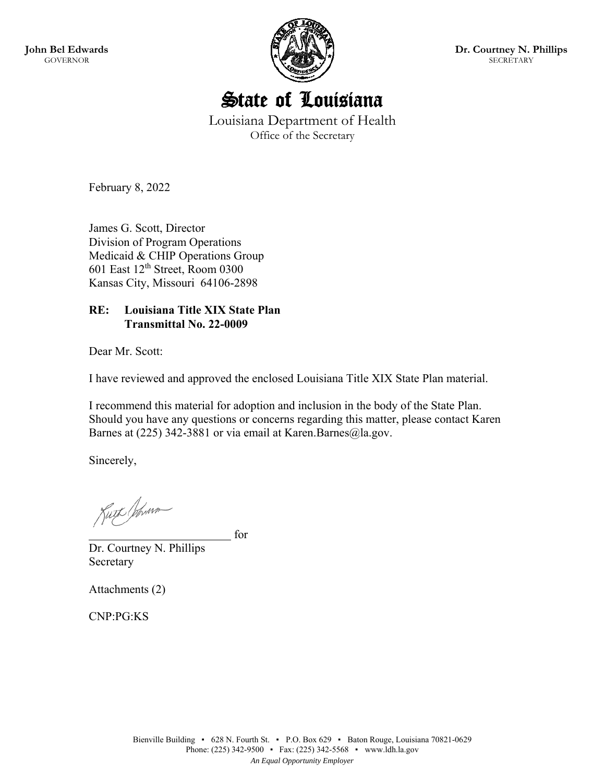**John Bel Edwards**  GOVERNOR



**Dr. Courtney N. Phillips SECRETARY** 



Louisiana Department of Health Office of the Secretary

February 8, 2022

James G. Scott, Director Division of Program Operations Medicaid & CHIP Operations Group 601 East 12th Street, Room 0300 Kansas City, Missouri 64106-2898

### **RE: Louisiana Title XIX State Plan Transmittal No. 22-0009**

Dear Mr. Scott:

I have reviewed and approved the enclosed Louisiana Title XIX State Plan material.

I recommend this material for adoption and inclusion in the body of the State Plan. Should you have any questions or concerns regarding this matter, please contact Karen Barnes at (225) 342-3881 or via email at Karen.Barnes@la.gov.

Sincerely,

Kuth Johnson

for

Dr. Courtney N. Phillips Secretary

Attachments (2)

CNP:PG:KS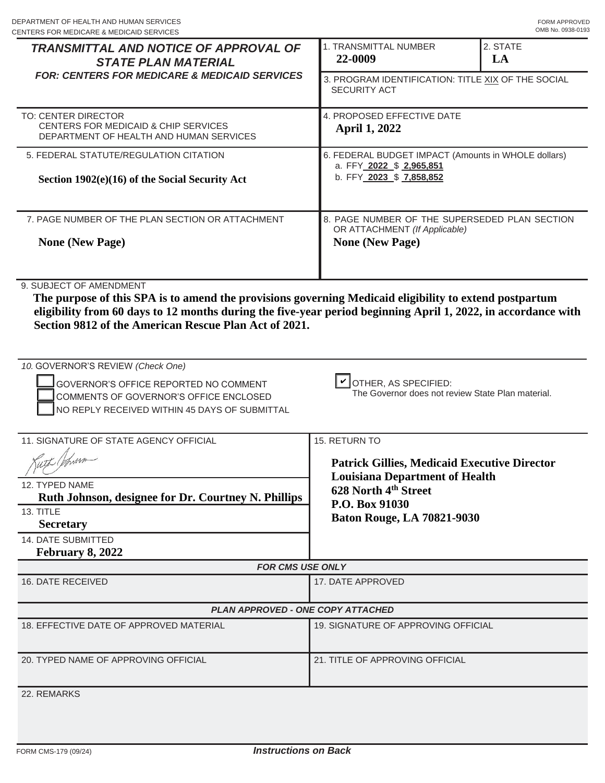| DEPARTMENT OF HEALTH AND HUMAN SERVICES<br>CENTERS FOR MEDICARE & MEDICAID SERVICES                                                                                                                                                                |                                                                                                             | FORM APPROVED<br>OMB No. 0938-0193 |  |  |
|----------------------------------------------------------------------------------------------------------------------------------------------------------------------------------------------------------------------------------------------------|-------------------------------------------------------------------------------------------------------------|------------------------------------|--|--|
| <b>TRANSMITTAL AND NOTICE OF APPROVAL OF</b><br><b>STATE PLAN MATERIAL</b>                                                                                                                                                                         | 1. TRANSMITTAL NUMBER<br>22-0009                                                                            | 2. STATE<br>LA                     |  |  |
| <b>FOR: CENTERS FOR MEDICARE &amp; MEDICAID SERVICES</b>                                                                                                                                                                                           | 3. PROGRAM IDENTIFICATION: TITLE XIX OF THE SOCIAL<br><b>SECURITY ACT</b>                                   |                                    |  |  |
| TO: CENTER DIRECTOR                                                                                                                                                                                                                                | 4. PROPOSED EFFECTIVE DATE                                                                                  |                                    |  |  |
| CENTERS FOR MEDICAID & CHIP SERVICES<br>DEPARTMENT OF HEALTH AND HUMAN SERVICES                                                                                                                                                                    | <b>April 1, 2022</b>                                                                                        |                                    |  |  |
| 5. FEDERAL STATUTE/REGULATION CITATION                                                                                                                                                                                                             | 6. FEDERAL BUDGET IMPACT (Amounts in WHOLE dollars)<br>a. FFY 2022 \$ 2,965,851<br>b. FFY 2023 \$ 7,858,852 |                                    |  |  |
| Section 1902(e)(16) of the Social Security Act                                                                                                                                                                                                     |                                                                                                             |                                    |  |  |
| 7. PAGE NUMBER OF THE PLAN SECTION OR ATTACHMENT                                                                                                                                                                                                   | 8. PAGE NUMBER OF THE SUPERSEDED PLAN SECTION                                                               |                                    |  |  |
| <b>None (New Page)</b>                                                                                                                                                                                                                             | OR ATTACHMENT (If Applicable)<br><b>None (New Page)</b>                                                     |                                    |  |  |
| 9. SUBJECT OF AMENDMENT<br>The purpose of this SPA is to amend the provisions governing Medicaid eligibility to extend postpartum<br>eligibility from 60 days to 12 months during the five-year period beginning April 1, 2022, in accordance with |                                                                                                             |                                    |  |  |
|                                                                                                                                                                                                                                                    |                                                                                                             |                                    |  |  |
| Section 9812 of the American Rescue Plan Act of 2021.<br>GOVERNOR'S OFFICE REPORTED NO COMMENT<br>COMMENTS OF GOVERNOR'S OFFICE ENCLOSED                                                                                                           | $\Box$ OTHER, AS SPECIFIED:<br>The Governor does not review State Plan material.                            |                                    |  |  |
| NO REPLY RECEIVED WITHIN 45 DAYS OF SUBMITTAL                                                                                                                                                                                                      |                                                                                                             |                                    |  |  |
|                                                                                                                                                                                                                                                    | 15. RETURN TO                                                                                               |                                    |  |  |
| Kuth Johnson                                                                                                                                                                                                                                       | <b>Patrick Gillies, Medicaid Executive Director</b>                                                         |                                    |  |  |
|                                                                                                                                                                                                                                                    | <b>Louisiana Department of Health</b>                                                                       |                                    |  |  |
| Ruth Johnson, designee for Dr. Courtney N. Phillips                                                                                                                                                                                                | 628 North 4th Street<br>P.O. Box 91030                                                                      |                                    |  |  |
| <b>Secretary</b>                                                                                                                                                                                                                                   | <b>Baton Rouge, LA 70821-9030</b>                                                                           |                                    |  |  |
|                                                                                                                                                                                                                                                    |                                                                                                             |                                    |  |  |
| February 8, 2022                                                                                                                                                                                                                                   |                                                                                                             |                                    |  |  |
| <b>FOR CMS USE ONLY</b>                                                                                                                                                                                                                            |                                                                                                             |                                    |  |  |
|                                                                                                                                                                                                                                                    | 17. DATE APPROVED                                                                                           |                                    |  |  |
| <b>PLAN APPROVED - ONE COPY ATTACHED</b>                                                                                                                                                                                                           |                                                                                                             |                                    |  |  |
|                                                                                                                                                                                                                                                    | 19. SIGNATURE OF APPROVING OFFICIAL                                                                         |                                    |  |  |
| 10. GOVERNOR'S REVIEW (Check One)<br>11. SIGNATURE OF STATE AGENCY OFFICIAL<br>12. TYPED NAME<br>13. TITLE<br><b>14. DATE SUBMITTED</b><br>16. DATE RECEIVED<br>18. EFFECTIVE DATE OF APPROVED MATERIAL<br>20. TYPED NAME OF APPROVING OFFICIAL    | 21. TITLE OF APPROVING OFFICIAL                                                                             |                                    |  |  |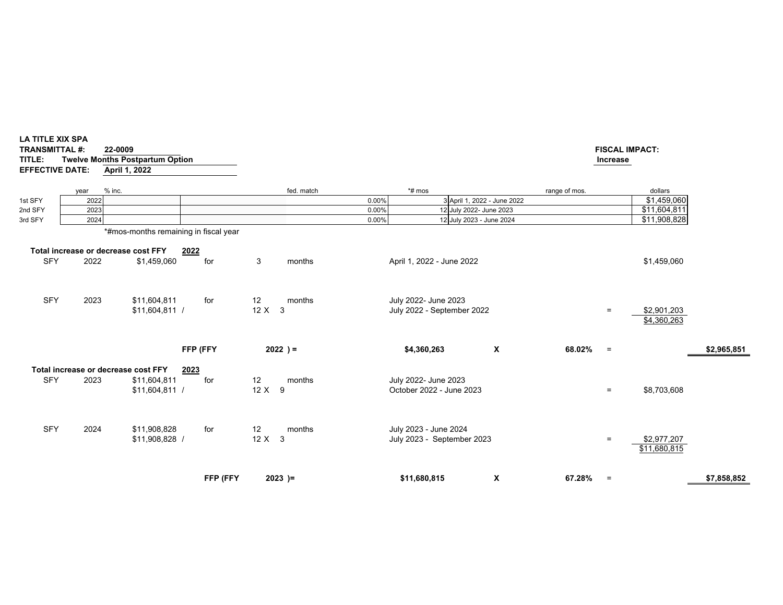|            |                                             |                                       |             |                         |       |                                                     |                             |               |     | \$11,680,815                       |             |
|------------|---------------------------------------------|---------------------------------------|-------------|-------------------------|-------|-----------------------------------------------------|-----------------------------|---------------|-----|------------------------------------|-------------|
| <b>SFY</b> | 2024                                        | \$11,908,828<br>\$11,908,828 /        | for         | 12<br>months<br>$12X$ 3 |       | July 2023 - June 2024<br>July 2023 - September 2023 |                             |               | $=$ | \$2,977,207                        |             |
| <b>SFY</b> | Total increase or decrease cost FFY<br>2023 | \$11,604,811<br>$$11,604,811$ /       | 2023<br>for | 12<br>months<br>12 X 9  |       | July 2022- June 2023<br>October 2022 - June 2023    |                             |               | $=$ | \$8,703,608                        |             |
|            |                                             |                                       | FFP (FFY    | $2022$ ) =              |       | \$4,360,263                                         | X                           | 68.02%        | $=$ |                                    | \$2,965,851 |
| <b>SFY</b> | 2023                                        | \$11,604,811<br>$$11,604,811$ /       | for         | 12<br>months<br>$12X$ 3 |       | July 2022- June 2023<br>July 2022 - September 2022  |                             |               | $=$ | \$2,901,203<br>\$4,360,263         |             |
| <b>SFY</b> | Total increase or decrease cost FFY<br>2022 | \$1,459,060                           | 2022<br>for | 3<br>months             |       | April 1, 2022 - June 2022                           |                             |               |     | \$1,459,060                        |             |
|            |                                             | *#mos-months remaining in fiscal year |             |                         |       |                                                     |                             |               |     |                                    |             |
| 3rd SFY    | 2024                                        |                                       |             |                         | 0.00% | 12 July 2023 - June 2024                            |                             |               |     | \$11,908,828                       |             |
| 2nd SFY    | 2023                                        |                                       |             |                         | 0.00% | 12 July 2022- June 2023                             |                             |               |     | \$11,604,811                       |             |
| 1st SFY    | % inc.<br>year<br>2022                      |                                       |             | fed. match              | 0.00% | *# mos                                              | 3 April 1, 2022 - June 2022 | range of mos. |     | dollars<br>$\overline{$1,459,060}$ |             |

**LA TITLE XIX SPA TRANSMITTAL #: 22-0009**

**TITLE: Twelve Months Postpartum Option EFFECTIVE DATE: April 1, 2022**

# **FISCAL IMPACT:**

# **Increase**